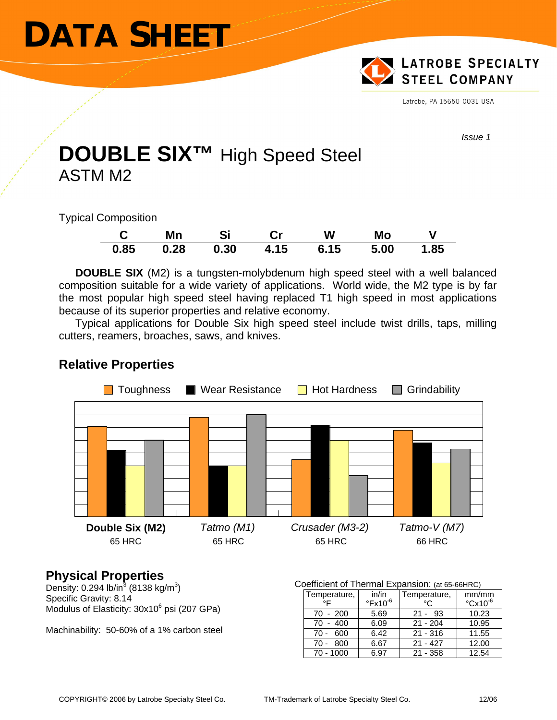# **DATA SHEET**



Latrobe, PA 15650-0031 USA

*Issue 1* 

## **DOUBLE SIX™** High Speed Steel ASTM M2

Typical Composition

|      | Mn   | Si   |      | W    | Mo   |      |
|------|------|------|------|------|------|------|
| 0.85 | 0.28 | 0.30 | 4.15 | 6.15 | 5.00 | 1.85 |

**DOUBLE SIX** (M2) is a tungsten-molybdenum high speed steel with a well balanced composition suitable for a wide variety of applications. World wide, the M2 type is by far the most popular high speed steel having replaced T1 high speed in most applications because of its superior properties and relative economy.

Typical applications for Double Six high speed steel include twist drills, taps, milling cutters, reamers, broaches, saws, and knives.



### **Relative Properties**

## **Physical Properties**

Density: 0.294 lb/in<sup>3</sup> (8138 kg/m<sup>3</sup>) Specific Gravity: 8.14 Modulus of Elasticity: 30x10<sup>6</sup> psi (207 GPa)

Machinability: 50-60% of a 1% carbon steel

#### Coefficient of Thermal Expansion: (at 65-66HRC)

| Temperature,  | in/in                 | Temperature, | mm/mm                    |
|---------------|-----------------------|--------------|--------------------------|
| $^{\circ}$    | $\mathrm{PFA10^{-6}}$ | $^{\circ}$   | $\degree$ Cx10 $\degree$ |
| 70 - 200      | 5.69                  | $21 - 93$    | 10.23                    |
| $-400$<br>70  | 6.09                  | $21 - 204$   | 10.95                    |
| - 600<br>70 - | 6.42                  | $21 - 316$   | 11.55                    |
| 800<br>70 -   | 6.67                  | $21 - 427$   | 12.00                    |
| 70 - 1000     | ճ 97                  | $21 - 358$   | 12.54                    |